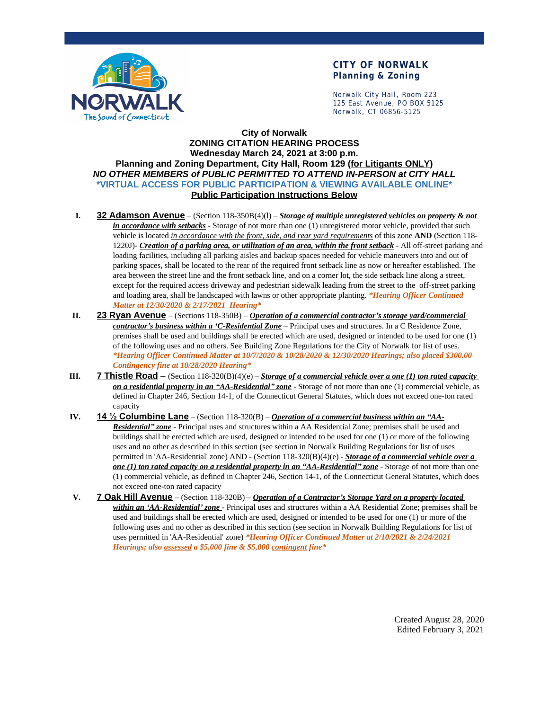

#### **CITY OF NORWALK Planning & Zoning**

Norwalk City Hall, Room 223 125 East Avenue, PO BOX 5125 Norwalk, CT 06856-5125

#### **City of Norwalk ZONING CITATION HEARING PROCESS Wednesday March 24, 2021 at 3:00 p.m. Planning and Zoning Department, City Hall, Room 129 (for Litigants ONLY)** *NO OTHER MEMBERS of PUBLIC PERMITTED TO ATTEND IN-PERSON at CITY HALL* **\*VIRTUAL ACCESS FOR PUBLIC PARTICIPATION & VIEWING AVAILABLE ONLINE\* Public Participation Instructions Below**

- **I. 32 Adamson Avenue** (Section 118-350B(4)(l) *Storage of multiple unregistered vehicles on property & not in accordance with setbacks* - Storage of not more than one (1) unregistered motor vehicle, provided that such vehicle is located *in accordance with the front, side, and rear yard requirements* of this zone **AND** (Section 118- 1220J)- *Creation of a parking area, or utilization of an area, within the front setback* - All off-street parking and loading facilities, including all parking aisles and backup spaces needed for vehicle maneuvers into and out of parking spaces, shall be located to the rear of the required front setback line as now or hereafter established. The area between the street line and the front setback line, and on a corner lot, the side setback line along a street, except for the required access driveway and pedestrian sidewalk leading from the street to the off-street parking and loading area, shall be landscaped with lawns or other appropriate planting. *\*Hearing Officer Continued Matter at 12/30/2020 & 2/17/2021 Hearing\**
- **II. 23 Ryan Avenue** (Sections 118-350B) *Operation of a commercial contractor's storage yard/commercial contractor's business within a 'C-Residential Zone* – Principal uses and structures. In a C Residence Zone, premises shall be used and buildings shall be erected which are used, designed or intended to be used for one (1) of the following uses and no others. See Building Zone Regulations for the City of Norwalk for list of uses. *\*Hearing Officer Continued Matter at 10/7/2020 & 10/28/2020 & 12/30/2020 Hearings; also placed \$300.00 Contingency fine at 10/28/2020 Hearing\**
- **III. 7 Thistle Road** (Section 118-320(B)(4)(e) *Storage of a commercial vehicle over a one (1) ton rated capacity on a residential property in an "AA-Residential" zone* - Storage of not more than one (1) commercial vehicle, as defined in Chapter 246, Section 14-1, of the Connecticut General Statutes, which does not exceed one-ton rated capacity
- **IV. 14 ½ Columbine Lane** (Section 118-320(B) *Operation of a commercial business within an "AA-Residential" zone* - Principal uses and structures within a AA Residential Zone; premises shall be used and buildings shall be erected which are used, designed or intended to be used for one (1) or more of the following uses and no other as described in this section (see section in Norwalk Building Regulations for list of uses permitted in 'AA-Residential' zone) AND - (Section 118-320(B)(4)(e) - *Storage of a commercial vehicle over a one (1) ton rated capacity on a residential property in an "AA-Residential" zone* - Storage of not more than one (1) commercial vehicle, as defined in Chapter 246, Section 14-1, of the Connecticut General Statutes, which does not exceed one-ton rated capacity
- **V. 7 Oak Hill Avenue** (Section 118-320B) *Operation of a Contractor's Storage Yard on a property located within an 'AA-Residential' zone* - Principal uses and structures within a AA Residential Zone; premises shall be used and buildings shall be erected which are used, designed or intended to be used for one (1) or more of the following uses and no other as described in this section (see section in Norwalk Building Regulations for list of uses permitted in 'AA-Residential' zone) *\*Hearing Officer Continued Matter at 2/10/2021 & 2/24/2021 Hearings; also assessed a \$5,000 fine & \$5,000 contingent fine\**

Created August 28, 2020 Edited February 3, 2021